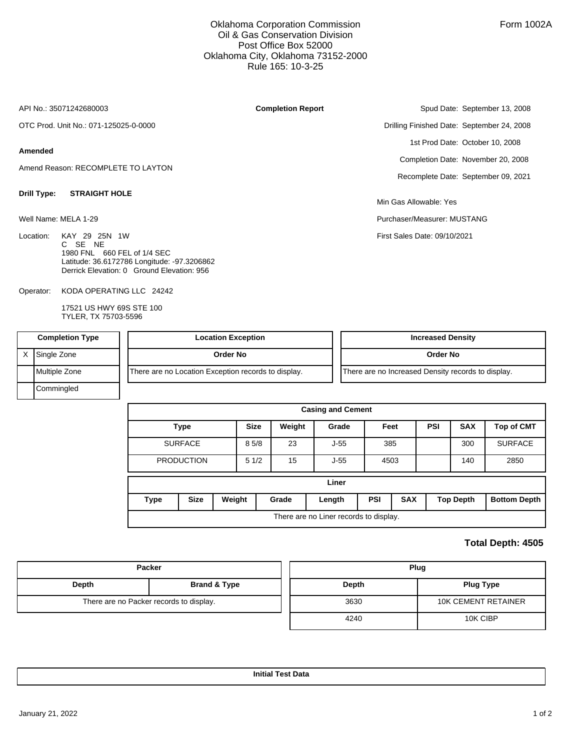## Oklahoma Corporation Commission Oil & Gas Conservation Division Post Office Box 52000 Oklahoma City, Oklahoma 73152-2000 Rule 165: 10-3-25

**Completion Report**

API No.: 35071242680003

OTC Prod. Unit No.: 071-125025-0-0000

### **Amended**

Amend Reason: RECOMPLETE TO LAYTON

#### **Drill Type: STRAIGHT HOLE**

Well Name: MELA 1-29

Location: KAY 29 25N 1W C SE NE 1980 FNL 660 FEL of 1/4 SEC Latitude: 36.6172786 Longitude: -97.3206862 Derrick Elevation: 0 Ground Elevation: 956

KODA OPERATING LLC 24242 Operator:

> 17521 US HWY 69S STE 100 TYLER, TX 75703-5596

Spud Date: September 13, 2008 Drilling Finished Date: September 24, 2008 1st Prod Date: October 10, 2008 Completion Date: November 20, 2008 Recomplete Date: September 09, 2021

Min Gas Allowable: Yes

Purchaser/Measurer: MUSTANG

First Sales Date: 09/10/2021

| <b>Completion Type</b> | <b>Location Exception</b>                           | <b>Increased Density</b>                           |
|------------------------|-----------------------------------------------------|----------------------------------------------------|
| X Single Zone          | Order No                                            | <b>Order No</b>                                    |
| <b>I</b> Multiple Zone | There are no Location Exception records to display. | There are no Increased Density records to display. |
| Commingled             |                                                     |                                                    |

| <b>Casing and Cement</b>               |                       |  |             |                 |        |            |            |            |                  |                     |  |
|----------------------------------------|-----------------------|--|-------------|-----------------|--------|------------|------------|------------|------------------|---------------------|--|
|                                        | <b>Type</b>           |  | <b>Size</b> | Weight<br>Grade |        | Feet       |            | <b>PSI</b> | <b>SAX</b>       | <b>Top of CMT</b>   |  |
|                                        | <b>SURFACE</b>        |  | 85/8        | 23              | $J-55$ |            | 385        |            | 300              | <b>SURFACE</b>      |  |
|                                        | <b>PRODUCTION</b>     |  | 51/2        | 15              | $J-55$ | 4503       |            |            | 140              | 2850                |  |
| Liner                                  |                       |  |             |                 |        |            |            |            |                  |                     |  |
| Type                                   | <b>Size</b><br>Weight |  |             | Grade           | Length | <b>PSI</b> | <b>SAX</b> |            | <b>Top Depth</b> | <b>Bottom Depth</b> |  |
| There are no Liner records to display. |                       |  |             |                 |        |            |            |            |                  |                     |  |

## **Total Depth: 4505**

|       | <b>Packer</b>                           | Plug  |                            |  |  |  |
|-------|-----------------------------------------|-------|----------------------------|--|--|--|
| Depth | <b>Brand &amp; Type</b>                 | Depth | <b>Plug Type</b>           |  |  |  |
|       | There are no Packer records to display. | 3630  | <b>10K CEMENT RETAINER</b> |  |  |  |
|       |                                         | 4240  | 10K CIBP                   |  |  |  |

**Initial Test Data**